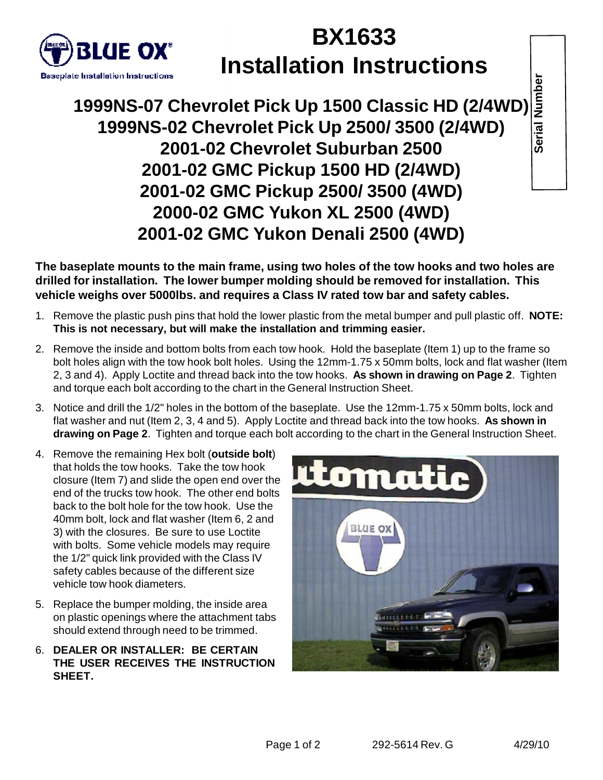

## **BX1633 Installation Instructions**

**1999NS-07 Chevrolet Pick Up 1500 Classic HD (2/4WD) 1999NS-02 Chevrolet Pick Up 2500/ 3500 (2/4WD) 2001-02 Chevrolet Suburban 2500 2001-02 GMC Pickup 1500 HD (2/4WD) 2001-02 GMC Pickup 2500/ 3500 (4WD) 2000-02 GMC Yukon XL 2500 (4WD) 2001-02 GMC Yukon Denali 2500 (4WD)**

**The baseplate mounts to the main frame, using two holes of the tow hooks and two holes are drilled for installation. The lower bumper molding should be removed for installation. This vehicle weighs over 5000lbs. and requires a Class IV rated tow bar and safety cables.**

- 1. Remove the plastic push pins that hold the lower plastic from the metal bumper and pull plastic off. **NOTE: This is not necessary, but will make the installation and trimming easier.**
- 2. Remove the inside and bottom bolts from each tow hook. Hold the baseplate (Item 1) up to the frame so bolt holes align with the tow hook bolt holes. Using the 12mm-1.75 x 50mm bolts, lock and flat washer (Item 2, 3 and 4). Apply Loctite and thread back into the tow hooks. **As shown in drawing on Page 2**. Tighten and torque each bolt according to the chart in the General Instruction Sheet.
- 3. Notice and drill the 1/2" holes in the bottom of the baseplate. Use the 12mm-1.75 x 50mm bolts, lock and flat washer and nut (Item 2, 3, 4 and 5). Apply Loctite and thread back into the tow hooks. **As shown in drawing on Page 2**. Tighten and torque each bolt according to the chart in the General Instruction Sheet.
- 4. Remove the remaining Hex bolt (**outside bolt**) that holds the tow hooks. Take the tow hook closure (Item 7) and slide the open end over the end of the trucks tow hook. The other end bolts back to the bolt hole for the tow hook. Use the 40mm bolt, lock and flat washer (Item 6, 2 and 3) with the closures. Be sure to use Loctite with bolts. Some vehicle models may require the 1/2" quick link provided with the Class IV safety cables because of the different size vehicle tow hook diameters.
- 5. Replace the bumper molding, the inside area on plastic openings where the attachment tabs should extend through need to be trimmed.
- 6. **DEALER OR INSTALLER: BE CERTAIN THE USER RECEIVES THE INSTRUCTION SHEET.**